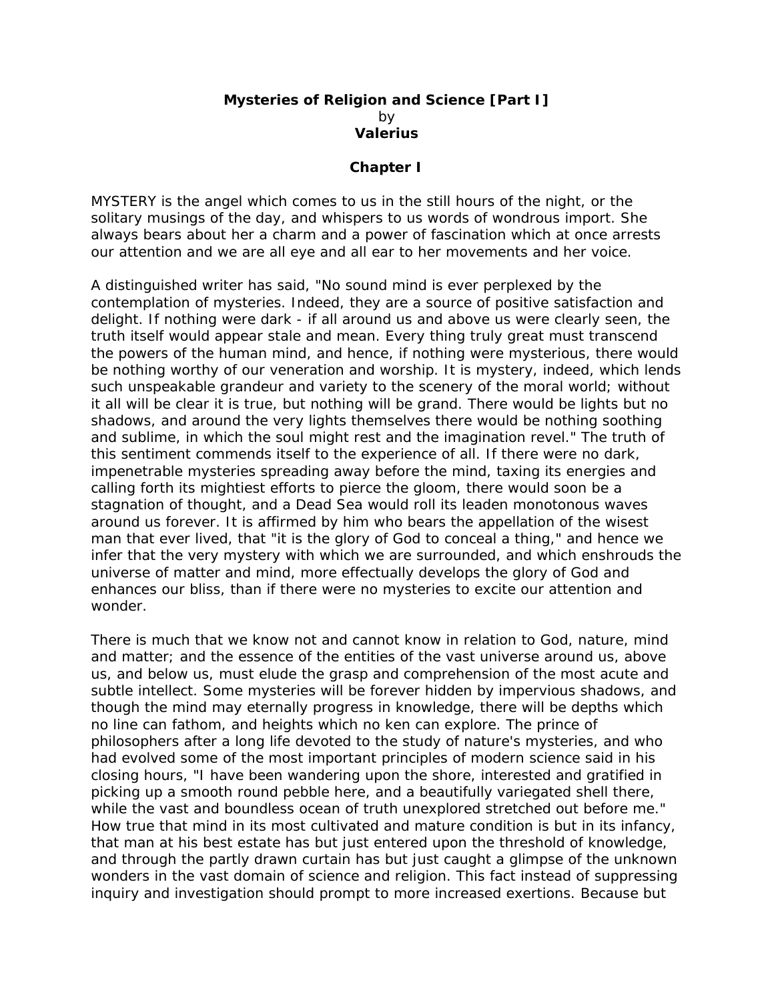## **Mysteries of Religion and Science [Part I]**  by **Valerius**

## **Chapter I**

MYSTERY is the angel which comes to us in the still hours of the night, or the solitary musings of the day, and whispers to us words of wondrous import. She always bears about her a charm and a power of fascination which at once arrests our attention and we are all eye and all ear to her movements and her voice.

A distinguished writer has said, "No sound mind is ever perplexed by the contemplation of mysteries. Indeed, they are a source of positive satisfaction and delight. If nothing were dark - if all around us and above us were clearly seen, the truth itself would appear stale and mean. Every thing truly great must transcend the powers of the human mind, and hence, if nothing were mysterious, there would be nothing worthy of our veneration and worship. It is mystery, indeed, which lends such unspeakable grandeur and variety to the scenery of the moral world; without it all will be clear it is true, but nothing will be grand. There would be lights but no shadows, and around the very lights themselves there would be nothing soothing and sublime, in which the soul might rest and the imagination revel." The truth of this sentiment commends itself to the experience of all. If there were no dark, impenetrable mysteries spreading away before the mind, taxing its energies and calling forth its mightiest efforts to pierce the gloom, there would soon be a stagnation of thought, and a Dead Sea would roll its leaden monotonous waves around us forever. It is affirmed by him who bears the appellation of the wisest man that ever lived, that "it is the glory of God to conceal a thing," and hence we infer that the very mystery with which we are surrounded, and which enshrouds the universe of matter and mind, more effectually develops the glory of God and enhances our bliss, than if there were no mysteries to excite our attention and wonder.

There is much that we know not and cannot know in relation to God, nature, mind and matter; and the essence of the entities of the vast universe around us, above us, and below us, must elude the grasp and comprehension of the most acute and subtle intellect. Some mysteries will be forever hidden by impervious shadows, and though the mind may eternally progress in knowledge, there will be depths which no line can fathom, and heights which no ken can explore. The prince of philosophers after a long life devoted to the study of nature's mysteries, and who had evolved some of the most important principles of modern science said in his closing hours, "I have been wandering upon the shore, interested and gratified in picking up a smooth round pebble here, and a beautifully variegated shell there, while the vast and boundless ocean of truth unexplored stretched out before me." How true that mind in its most cultivated and mature condition is but in its infancy, that man at his best estate has but just entered upon the threshold of knowledge, and through the partly drawn curtain has but just caught a glimpse of the unknown wonders in the vast domain of science and religion. This fact instead of suppressing inquiry and investigation should prompt to more increased exertions. Because but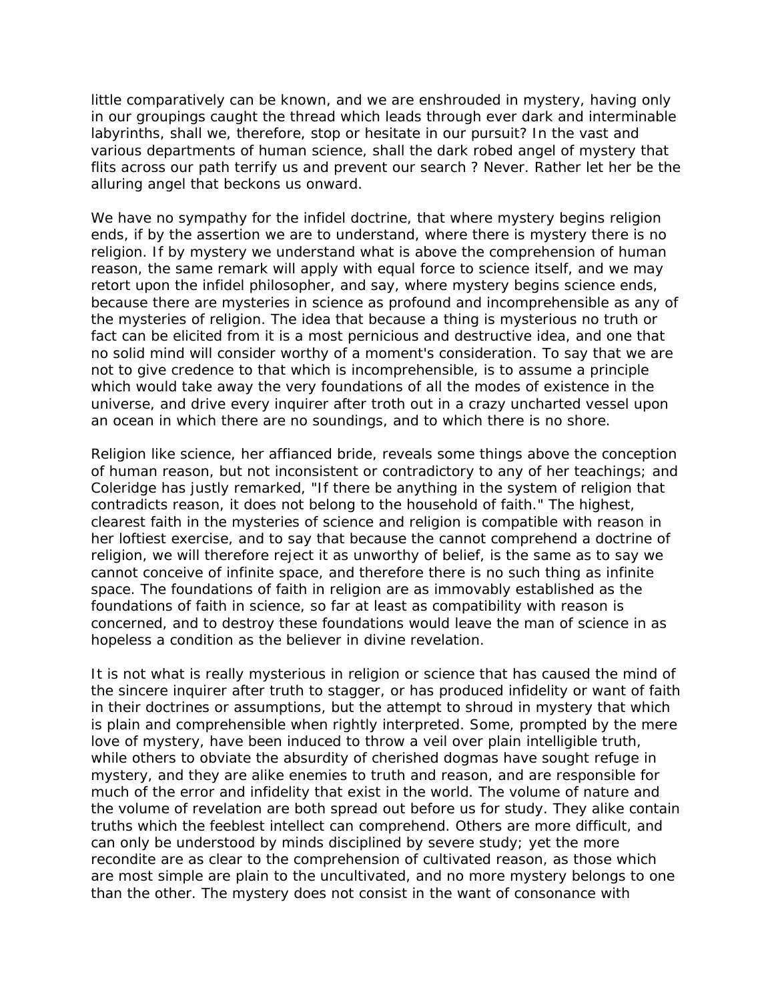little comparatively can be known, and we are enshrouded in mystery, having only in our groupings caught the thread which leads through ever dark and interminable labyrinths, shall we, therefore, stop or hesitate in our pursuit? In the vast and various departments of human science, shall the dark robed angel of mystery that flits across our path terrify us and prevent our search ? Never. Rather let her be the alluring angel that beckons us onward.

We have no sympathy for the infidel doctrine, that where mystery begins religion ends, if by the assertion we are to understand, where there is mystery there is no religion. If by mystery we understand what is above the comprehension of human reason, the same remark will apply with equal force to science itself, and we may retort upon the infidel philosopher, and say, where mystery begins science ends, because there are mysteries in science as profound and incomprehensible as any of the mysteries of religion. The idea that because a thing is mysterious no truth or fact can be elicited from it is a most pernicious and destructive idea, and one that no solid mind will consider worthy of a moment's consideration. To say that we are not to give credence to that which is incomprehensible, is to assume a principle which would take away the very foundations of all the modes of existence in the universe, and drive every inquirer after troth out in a crazy uncharted vessel upon an ocean in which there are no soundings, and to which there is no shore.

Religion like science, her affianced bride, reveals some things above the conception of human reason, but not inconsistent or contradictory to any of her teachings; and Coleridge has justly remarked, "If there be anything in the system of religion that contradicts reason, it does not belong to the household of faith." The highest, clearest faith in the mysteries of science and religion is compatible with reason in her loftiest exercise, and to say that because the cannot comprehend a doctrine of religion, we will therefore reject it as unworthy of belief, is the same as to say we cannot conceive of infinite space, and therefore there is no such thing as infinite space. The foundations of faith in religion are as immovably established as the foundations of faith in science, so far at least as compatibility with reason is concerned, and to destroy these foundations would leave the man of science in as hopeless a condition as the believer in divine revelation.

It is not what is really mysterious in religion or science that has caused the mind of the sincere inquirer after truth to stagger, or has produced infidelity or want of faith in their doctrines or assumptions, but the attempt to shroud in mystery that which is plain and comprehensible when rightly interpreted. Some, prompted by the mere love of mystery, have been induced to throw a veil over plain intelligible truth, while others to obviate the absurdity of cherished dogmas have sought refuge in mystery, and they are alike enemies to truth and reason, and are responsible for much of the error and infidelity that exist in the world. The volume of nature and the volume of revelation are both spread out before us for study. They alike contain truths which the feeblest intellect can comprehend. Others are more difficult, and can only be understood by minds disciplined by severe study; yet the more recondite are as clear to the comprehension of cultivated reason, as those which are most simple are plain to the uncultivated, and no more mystery belongs to one than the other. The mystery does not consist in the want of consonance with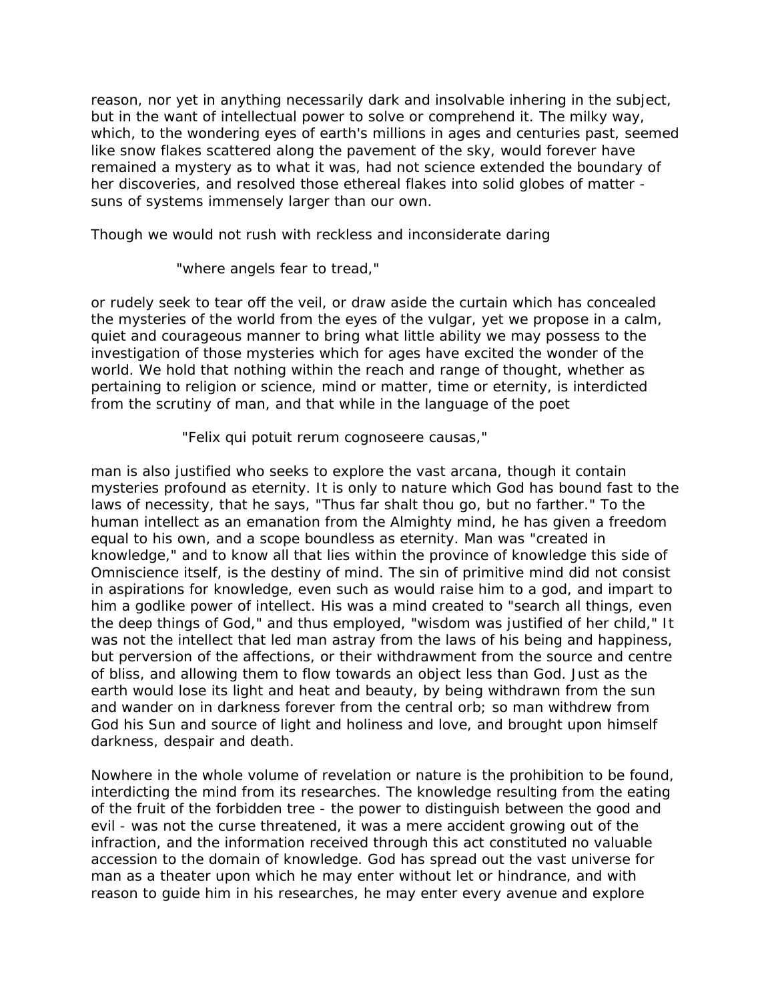reason, nor yet in anything necessarily dark and insolvable inhering in the subject, but in the want of intellectual power to solve or comprehend it. The milky way, which, to the wondering eyes of earth's millions in ages and centuries past, seemed like snow flakes scattered along the pavement of the sky, would forever have remained a mystery as to what it was, had not science extended the boundary of her discoveries, and resolved those ethereal flakes into solid globes of matter suns of systems immensely larger than our own.

Though we would not rush with reckless and inconsiderate daring

"where angels fear to tread,"

or rudely seek to tear off the veil, or draw aside the curtain which has concealed the mysteries of the world from the eyes of the vulgar, yet we propose in a calm, quiet and courageous manner to bring what little ability we may possess to the investigation of those mysteries which for ages have excited the wonder of the world. We hold that nothing within the reach and range of thought, whether as pertaining to religion or science, mind or matter, time or eternity, is interdicted from the scrutiny of man, and that while in the language of the poet

"Felix qui potuit rerum cognoseere causas,"

man is also justified who seeks to explore the vast arcana, though it contain mysteries profound as eternity. It is only to nature which God has bound fast to the laws of necessity, that he says, "Thus far shalt thou go, but no farther." To the human intellect as an emanation from the Almighty mind, he has given a freedom equal to his own, and a scope boundless as eternity. Man was "created in knowledge," and to know all that lies within the province of knowledge this side of Omniscience itself, is the destiny of mind. The sin of primitive mind did not consist in aspirations for knowledge, even such as would raise him to a god, and impart to him a godlike power of intellect. His was a mind created to "search all things, even the deep things of God," and thus employed, "wisdom was justified of her child," It was not the intellect that led man astray from the laws of his being and happiness, but perversion of the affections, or their withdrawment from the source and centre of bliss, and allowing them to flow towards an object less than God. Just as the earth would lose its light and heat and beauty, by being withdrawn from the sun and wander on in darkness forever from the central orb; so man withdrew from God his Sun and source of light and holiness and love, and brought upon himself darkness, despair and death.

Nowhere in the whole volume of revelation or nature is the prohibition to be found, interdicting the mind from its researches. The knowledge resulting from the eating of the fruit of the forbidden tree - the power to distinguish between the good and evil - was not the curse threatened, it was a mere accident growing out of the infraction, and the information received through this act constituted no valuable accession to the domain of knowledge. God has spread out the vast universe for man as a theater upon which he may enter without let or hindrance, and with reason to guide him in his researches, he may enter every avenue and explore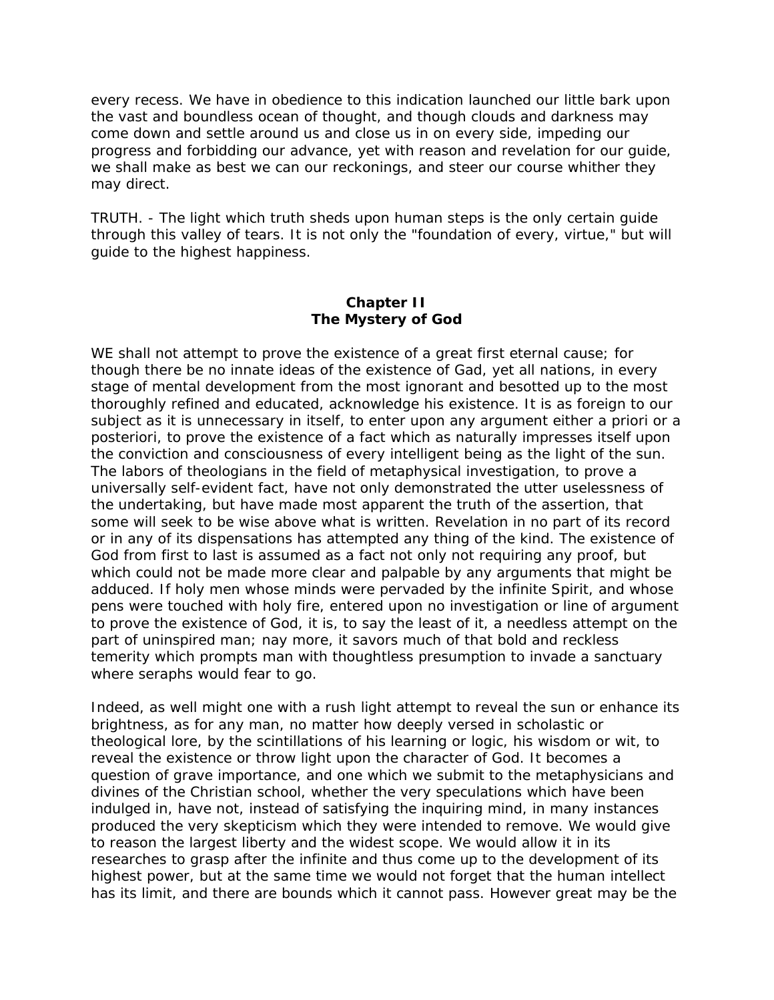every recess. We have in obedience to this indication launched our little bark upon the vast and boundless ocean of thought, and though clouds and darkness may come down and settle around us and close us in on every side, impeding our progress and forbidding our advance, yet with reason and revelation for our guide, we shall make as best we can our reckonings, and steer our course whither they may direct.

TRUTH. - The light which truth sheds upon human steps is the only certain guide through this valley of tears. It is not only the "foundation of every, virtue," but will guide to the highest happiness.

## **Chapter II The Mystery of God**

WE shall not attempt to prove the existence of a great first eternal cause; for though there be no innate ideas of the existence of Gad, yet all nations, in every stage of mental development from the most ignorant and besotted up to the most thoroughly refined and educated, acknowledge his existence. It is as foreign to our subject as it is unnecessary in itself, to enter upon any argument either a priori or a posteriori, to prove the existence of a fact which as naturally impresses itself upon the conviction and consciousness of every intelligent being as the light of the sun. The labors of theologians in the field of metaphysical investigation, to prove a universally self-evident fact, have not only demonstrated the utter uselessness of the undertaking, but have made most apparent the truth of the assertion, that some will seek to be wise above what is written. Revelation in no part of its record or in any of its dispensations has attempted any thing of the kind. The existence of God from first to last is assumed as a fact not only not requiring any proof, but which could not be made more clear and palpable by any arguments that might be adduced. If holy men whose minds were pervaded by the infinite Spirit, and whose pens were touched with holy fire, entered upon no investigation or line of argument to prove the existence of God, it is, to say the least of it, a needless attempt on the part of uninspired man; nay more, it savors much of that bold and reckless temerity which prompts man with thoughtless presumption to invade a sanctuary where seraphs would fear to go.

Indeed, as well might one with a rush light attempt to reveal the sun or enhance its brightness, as for any man, no matter how deeply versed in scholastic or theological lore, by the scintillations of his learning or logic, his wisdom or wit, to reveal the existence or throw light upon the character of God. It becomes a question of grave importance, and one which we submit to the metaphysicians and divines of the Christian school, whether the very speculations which have been indulged in, have not, instead of satisfying the inquiring mind, in many instances produced the very skepticism which they were intended to remove. We would give to reason the largest liberty and the widest scope. We would allow it in its researches to grasp after the infinite and thus come up to the development of its highest power, but at the same time we would not forget that the human intellect has its limit, and there are bounds which it cannot pass. However great may be the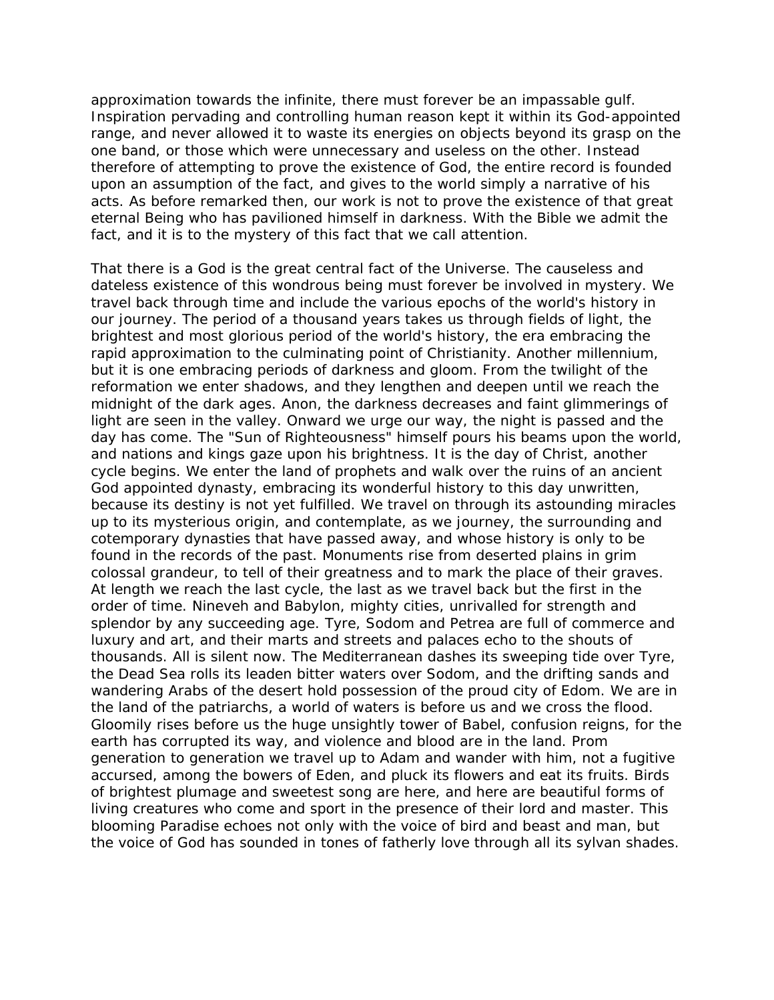approximation towards the infinite, there must forever be an impassable gulf. Inspiration pervading and controlling human reason kept it within its God-appointed range, and never allowed it to waste its energies on objects beyond its grasp on the one band, or those which were unnecessary and useless on the other. Instead therefore of attempting to prove the existence of God, the entire record is founded upon an assumption of the fact, and gives to the world simply a narrative of his acts. As before remarked then, our work is not to prove the existence of that great eternal Being who has pavilioned himself in darkness. With the Bible we admit the fact, and it is to the mystery of this fact that we call attention.

That there is a God is the great central fact of the Universe. The causeless and dateless existence of this wondrous being must forever be involved in mystery. We travel back through time and include the various epochs of the world's history in our journey. The period of a thousand years takes us through fields of light, the brightest and most glorious period of the world's history, the era embracing the rapid approximation to the culminating point of Christianity. Another millennium, but it is one embracing periods of darkness and gloom. From the twilight of the reformation we enter shadows, and they lengthen and deepen until we reach the midnight of the dark ages. Anon, the darkness decreases and faint glimmerings of light are seen in the valley. Onward we urge our way, the night is passed and the day has come. The "Sun of Righteousness" himself pours his beams upon the world, and nations and kings gaze upon his brightness. It is the day of Christ, another cycle begins. We enter the land of prophets and walk over the ruins of an ancient God appointed dynasty, embracing its wonderful history to this day unwritten, because its destiny is not yet fulfilled. We travel on through its astounding miracles up to its mysterious origin, and contemplate, as we journey, the surrounding and cotemporary dynasties that have passed away, and whose history is only to be found in the records of the past. Monuments rise from deserted plains in grim colossal grandeur, to tell of their greatness and to mark the place of their graves. At length we reach the last cycle, the last as we travel back but the first in the order of time. Nineveh and Babylon, mighty cities, unrivalled for strength and splendor by any succeeding age. Tyre, Sodom and Petrea are full of commerce and luxury and art, and their marts and streets and palaces echo to the shouts of thousands. All is silent now. The Mediterranean dashes its sweeping tide over Tyre, the Dead Sea rolls its leaden bitter waters over Sodom, and the drifting sands and wandering Arabs of the desert hold possession of the proud city of Edom. We are in the land of the patriarchs, a world of waters is before us and we cross the flood. Gloomily rises before us the huge unsightly tower of Babel, confusion reigns, for the earth has corrupted its way, and violence and blood are in the land. Prom generation to generation we travel up to Adam and wander with him, not a fugitive accursed, among the bowers of Eden, and pluck its flowers and eat its fruits. Birds of brightest plumage and sweetest song are here, and here are beautiful forms of living creatures who come and sport in the presence of their lord and master. This blooming Paradise echoes not only with the voice of bird and beast and man, but the voice of God has sounded in tones of fatherly love through all its sylvan shades.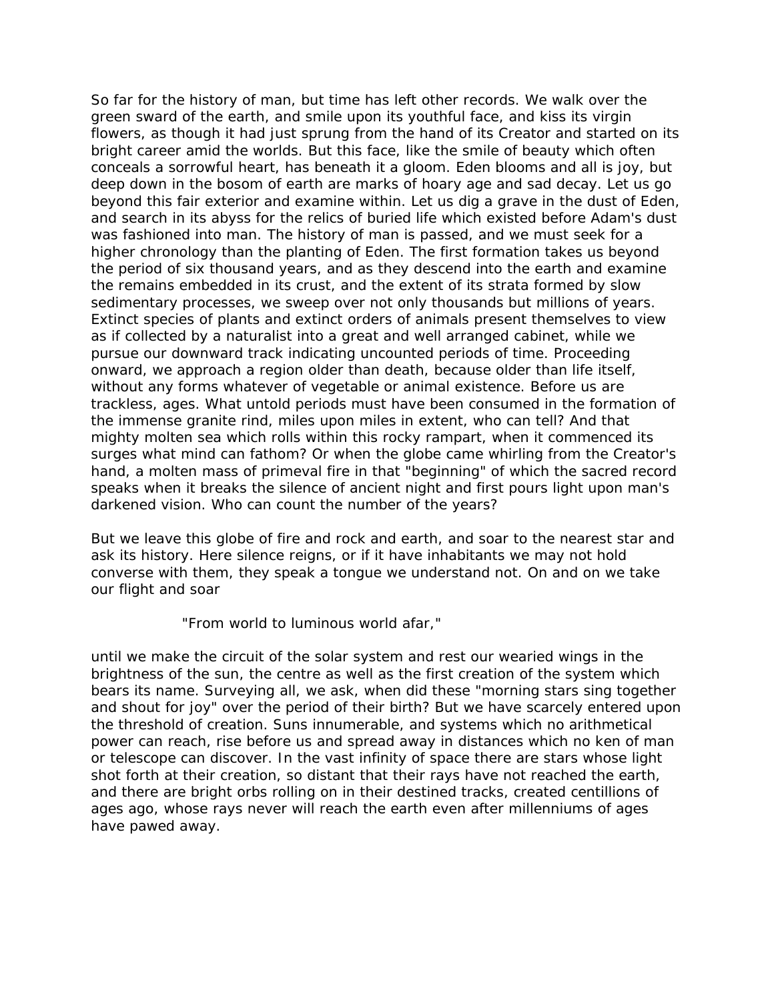So far for the history of man, but time has left other records. We walk over the green sward of the earth, and smile upon its youthful face, and kiss its virgin flowers, as though it had just sprung from the hand of its Creator and started on its bright career amid the worlds. But this face, like the smile of beauty which often conceals a sorrowful heart, has beneath it a gloom. Eden blooms and all is joy, but deep down in the bosom of earth are marks of hoary age and sad decay. Let us go beyond this fair exterior and examine within. Let us dig a grave in the dust of Eden, and search in its abyss for the relics of buried life which existed before Adam's dust was fashioned into man. The history of man is passed, and we must seek for a higher chronology than the planting of Eden. The first formation takes us beyond the period of six thousand years, and as they descend into the earth and examine the remains embedded in its crust, and the extent of its strata formed by slow sedimentary processes, we sweep over not only thousands but millions of years. Extinct species of plants and extinct orders of animals present themselves to view as if collected by a naturalist into a great and well arranged cabinet, while we pursue our downward track indicating uncounted periods of time. Proceeding onward, we approach a region older than death, because older than life itself, without any forms whatever of vegetable or animal existence. Before us are trackless, ages. What untold periods must have been consumed in the formation of the immense granite rind, miles upon miles in extent, who can tell? And that mighty molten sea which rolls within this rocky rampart, when it commenced its surges what mind can fathom? Or when the globe came whirling from the Creator's hand, a molten mass of primeval fire in that "beginning" of which the sacred record speaks when it breaks the silence of ancient night and first pours light upon man's darkened vision. Who can count the number of the years?

But we leave this globe of fire and rock and earth, and soar to the nearest star and ask its history. Here silence reigns, or if it have inhabitants we may not hold converse with them, they speak a tongue we understand not. On and on we take our flight and soar

"From world to luminous world afar,"

until we make the circuit of the solar system and rest our wearied wings in the brightness of the sun, the centre as well as the first creation of the system which bears its name. Surveying all, we ask, when did these "morning stars sing together and shout for joy" over the period of their birth? But we have scarcely entered upon the threshold of creation. Suns innumerable, and systems which no arithmetical power can reach, rise before us and spread away in distances which no ken of man or telescope can discover. In the vast infinity of space there are stars whose light shot forth at their creation, so distant that their rays have not reached the earth, and there are bright orbs rolling on in their destined tracks, created centillions of ages ago, whose rays never will reach the earth even after millenniums of ages have pawed away.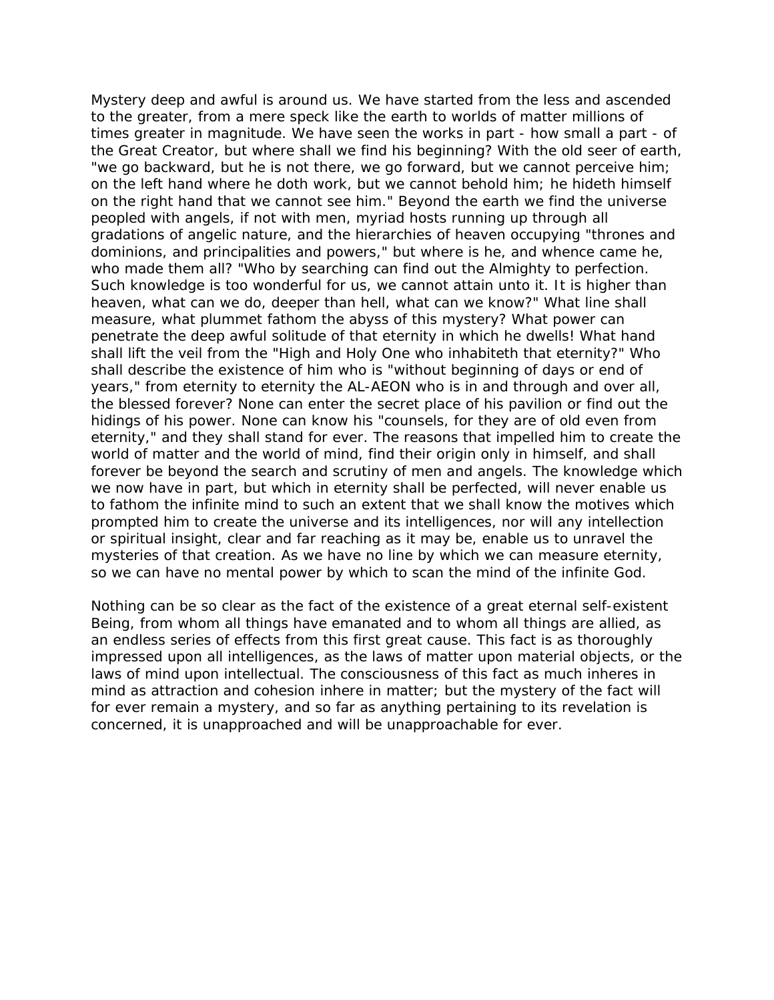Mystery deep and awful is around us. We have started from the less and ascended to the greater, from a mere speck like the earth to worlds of matter millions of times greater in magnitude. We have seen the works in part - how small a part - of the Great Creator, but where shall we find his beginning? With the old seer of earth, "we go backward, but he is not there, we go forward, but we cannot perceive him; on the left hand where he doth work, but we cannot behold him; he hideth himself on the right hand that we cannot see him." Beyond the earth we find the universe peopled with angels, if not with men, myriad hosts running up through all gradations of angelic nature, and the hierarchies of heaven occupying "thrones and dominions, and principalities and powers," but where is he, and whence came he, who made them all? "Who by searching can find out the Almighty to perfection. Such knowledge is too wonderful for us, we cannot attain unto it. It is higher than heaven, what can we do, deeper than hell, what can we know?" What line shall measure, what plummet fathom the abyss of this mystery? What power can penetrate the deep awful solitude of that eternity in which he dwells! What hand shall lift the veil from the "High and Holy One who inhabiteth that eternity?" Who shall describe the existence of him who is "without beginning of days or end of years," from eternity to eternity the AL-AEON who is in and through and over all, the blessed forever? None can enter the secret place of his pavilion or find out the hidings of his power. None can know his "counsels, for they are of old even from eternity," and they shall stand for ever. The reasons that impelled him to create the world of matter and the world of mind, find their origin only in himself, and shall forever be beyond the search and scrutiny of men and angels. The knowledge which we now have in part, but which in eternity shall be perfected, will never enable us to fathom the infinite mind to such an extent that we shall know the motives which prompted him to create the universe and its intelligences, nor will any intellection or spiritual insight, clear and far reaching as it may be, enable us to unravel the mysteries of that creation. As we have no line by which we can measure eternity, so we can have no mental power by which to scan the mind of the infinite God.

Nothing can be so clear as the fact of the existence of a great eternal self-existent Being, from whom all things have emanated and to whom all things are allied, as an endless series of effects from this first great cause. This fact is as thoroughly impressed upon all intelligences, as the laws of matter upon material objects, or the laws of mind upon intellectual. The consciousness of this fact as much inheres in mind as attraction and cohesion inhere in matter; but the mystery of the fact will for ever remain a mystery, and so far as anything pertaining to its revelation is concerned, it is unapproached and will be unapproachable for ever.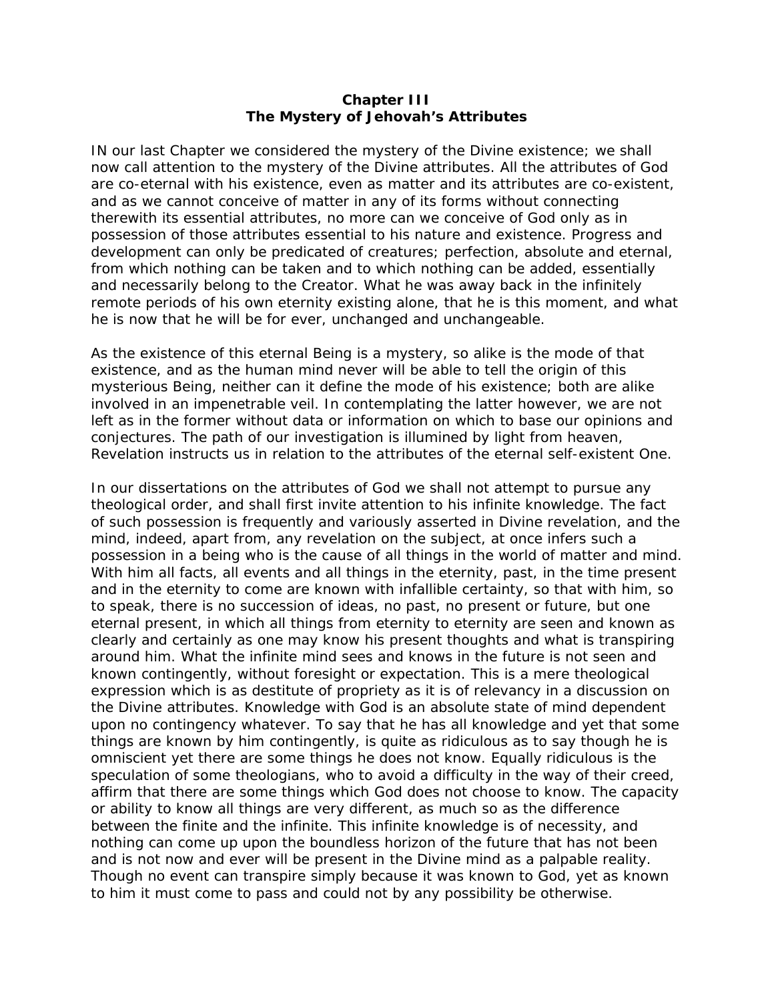## **Chapter III The Mystery of Jehovah's Attributes**

IN our last Chapter we considered the mystery of the Divine existence; we shall now call attention to the mystery of the Divine attributes. All the attributes of God are co-eternal with his existence, even as matter and its attributes are co-existent, and as we cannot conceive of matter in any of its forms without connecting therewith its essential attributes, no more can we conceive of God only as in possession of those attributes essential to his nature and existence. Progress and development can only be predicated of creatures; perfection, absolute and eternal, from which nothing can be taken and to which nothing can be added, essentially and necessarily belong to the Creator. What he was away back in the infinitely remote periods of his own eternity existing alone, that he is this moment, and what he is now that he will be for ever, unchanged and unchangeable.

As the existence of this eternal Being is a mystery, so alike is the mode of that existence, and as the human mind never will be able to tell the origin of this mysterious Being, neither can it define the mode of his existence; both are alike involved in an impenetrable veil. In contemplating the latter however, we are not left as in the former without data or information on which to base our opinions and conjectures. The path of our investigation is illumined by light from heaven, Revelation instructs us in relation to the attributes of the eternal self-existent One.

In our dissertations on the attributes of God we shall not attempt to pursue any theological order, and shall first invite attention to his infinite knowledge. The fact of such possession is frequently and variously asserted in Divine revelation, and the mind, indeed, apart from, any revelation on the subject, at once infers such a possession in a being who is the cause of all things in the world of matter and mind. With him all facts, all events and all things in the eternity, past, in the time present and in the eternity to come are known with infallible certainty, so that with him, so to speak, there is no succession of ideas, no past, no present or future, but one eternal present, in which all things from eternity to eternity are seen and known as clearly and certainly as one may know his present thoughts and what is transpiring around him. What the infinite mind sees and knows in the future is not seen and known contingently, without foresight or expectation. This is a mere theological expression which is as destitute of propriety as it is of relevancy in a discussion on the Divine attributes. Knowledge with God is an absolute state of mind dependent upon no contingency whatever. To say that he has all knowledge and yet that some things are known by him contingently, is quite as ridiculous as to say though he is omniscient yet there are some things he does not know. Equally ridiculous is the speculation of some theologians, who to avoid a difficulty in the way of their creed, affirm that there are some things which God does not choose to know. The capacity or ability to know all things are very different, as much so as the difference between the finite and the infinite. This infinite knowledge is of necessity, and nothing can come up upon the boundless horizon of the future that has not been and is not now and ever will be present in the Divine mind as a palpable reality. Though no event can transpire simply because it was known to God, yet as known to him it must come to pass and could not by any possibility be otherwise.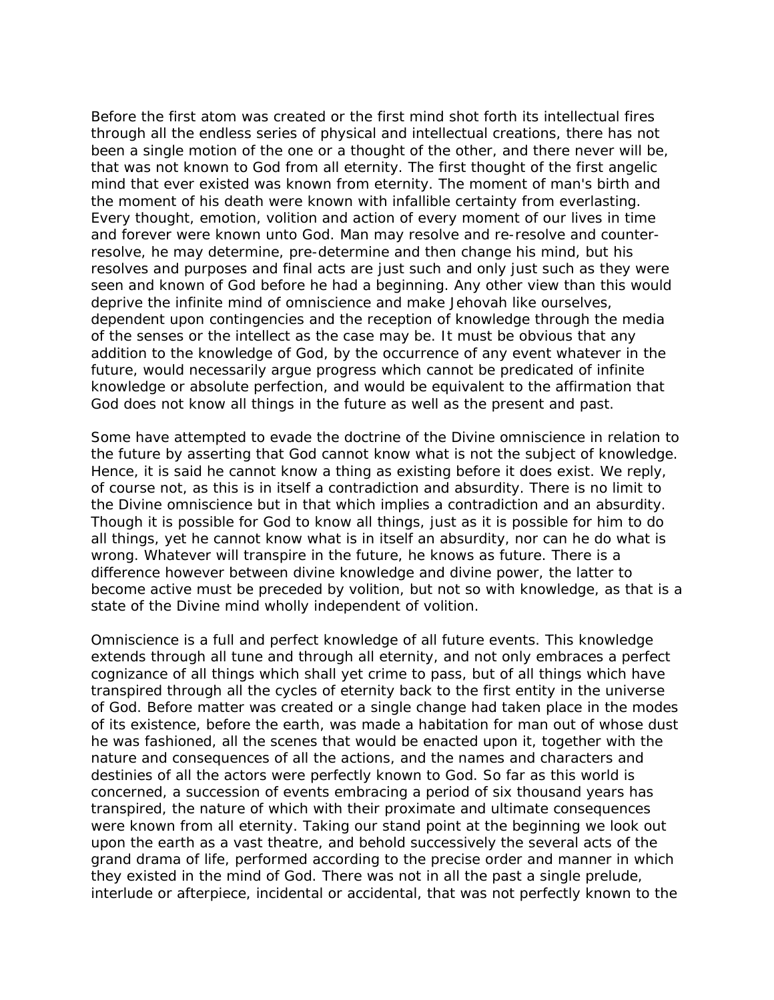Before the first atom was created or the first mind shot forth its intellectual fires through all the endless series of physical and intellectual creations, there has not been a single motion of the one or a thought of the other, and there never will be, that was not known to God from all eternity. The first thought of the first angelic mind that ever existed was known from eternity. The moment of man's birth and the moment of his death were known with infallible certainty from everlasting. Every thought, emotion, volition and action of every moment of our lives in time and forever were known unto God. Man may resolve and re-resolve and counterresolve, he may determine, pre-determine and then change his mind, but his resolves and purposes and final acts are just such and only just such as they were seen and known of God before he had a beginning. Any other view than this would deprive the infinite mind of omniscience and make Jehovah like ourselves, dependent upon contingencies and the reception of knowledge through the media of the senses or the intellect as the case may be. It must be obvious that any addition to the knowledge of God, by the occurrence of any event whatever in the future, would necessarily argue progress which cannot be predicated of infinite knowledge or absolute perfection, and would be equivalent to the affirmation that God does not know all things in the future as well as the present and past.

Some have attempted to evade the doctrine of the Divine omniscience in relation to the future by asserting that God cannot know what is not the subject of knowledge. Hence, it is said he cannot know a thing as existing before it does exist. We reply, of course not, as this is in itself a contradiction and absurdity. There is no limit to the Divine omniscience but in that which implies a contradiction and an absurdity. Though it is possible for God to know all things, just as it is possible for him to do all things, yet he cannot know what is in itself an absurdity, nor can he do what is wrong. Whatever will transpire in the future, he knows as future. There is a difference however between divine knowledge and divine power, the latter to become active must be preceded by volition, but not so with knowledge, as that is a state of the Divine mind wholly independent of volition.

Omniscience is a full and perfect knowledge of all future events. This knowledge extends through all tune and through all eternity, and not only embraces a perfect cognizance of all things which shall yet crime to pass, but of all things which have transpired through all the cycles of eternity back to the first entity in the universe of God. Before matter was created or a single change had taken place in the modes of its existence, before the earth, was made a habitation for man out of whose dust he was fashioned, all the scenes that would be enacted upon it, together with the nature and consequences of all the actions, and the names and characters and destinies of all the actors were perfectly known to God. So far as this world is concerned, a succession of events embracing a period of six thousand years has transpired, the nature of which with their proximate and ultimate consequences were known from all eternity. Taking our stand point at the beginning we look out upon the earth as a vast theatre, and behold successively the several acts of the grand drama of life, performed according to the precise order and manner in which they existed in the mind of God. There was not in all the past a single prelude, interlude or afterpiece, incidental or accidental, that was not perfectly known to the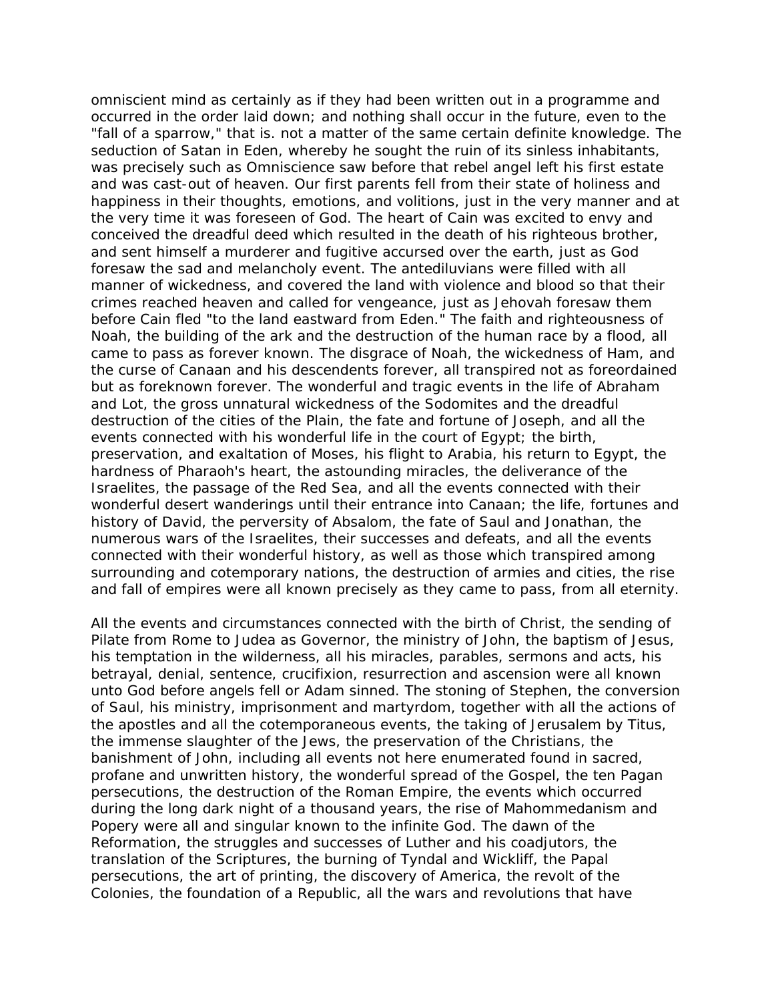omniscient mind as certainly as if they had been written out in a programme and occurred in the order laid down; and nothing shall occur in the future, even to the "fall of a sparrow," that is. not a matter of the same certain definite knowledge. The seduction of Satan in Eden, whereby he sought the ruin of its sinless inhabitants, was precisely such as Omniscience saw before that rebel angel left his first estate and was cast-out of heaven. Our first parents fell from their state of holiness and happiness in their thoughts, emotions, and volitions, just in the very manner and at the very time it was foreseen of God. The heart of Cain was excited to envy and conceived the dreadful deed which resulted in the death of his righteous brother, and sent himself a murderer and fugitive accursed over the earth, just as God foresaw the sad and melancholy event. The antediluvians were filled with all manner of wickedness, and covered the land with violence and blood so that their crimes reached heaven and called for vengeance, just as Jehovah foresaw them before Cain fled "to the land eastward from Eden." The faith and righteousness of Noah, the building of the ark and the destruction of the human race by a flood, all came to pass as forever known. The disgrace of Noah, the wickedness of Ham, and the curse of Canaan and his descendents forever, all transpired not as foreordained but as foreknown forever. The wonderful and tragic events in the life of Abraham and Lot, the gross unnatural wickedness of the Sodomites and the dreadful destruction of the cities of the Plain, the fate and fortune of Joseph, and all the events connected with his wonderful life in the court of Egypt; the birth, preservation, and exaltation of Moses, his flight to Arabia, his return to Egypt, the hardness of Pharaoh's heart, the astounding miracles, the deliverance of the Israelites, the passage of the Red Sea, and all the events connected with their wonderful desert wanderings until their entrance into Canaan; the life, fortunes and history of David, the perversity of Absalom, the fate of Saul and Jonathan, the numerous wars of the Israelites, their successes and defeats, and all the events connected with their wonderful history, as well as those which transpired among surrounding and cotemporary nations, the destruction of armies and cities, the rise and fall of empires were all known precisely as they came to pass, from all eternity.

All the events and circumstances connected with the birth of Christ, the sending of Pilate from Rome to Judea as Governor, the ministry of John, the baptism of Jesus, his temptation in the wilderness, all his miracles, parables, sermons and acts, his betrayal, denial, sentence, crucifixion, resurrection and ascension were all known unto God before angels fell or Adam sinned. The stoning of Stephen, the conversion of Saul, his ministry, imprisonment and martyrdom, together with all the actions of the apostles and all the cotemporaneous events, the taking of Jerusalem by Titus, the immense slaughter of the Jews, the preservation of the Christians, the banishment of John, including all events not here enumerated found in sacred, profane and unwritten history, the wonderful spread of the Gospel, the ten Pagan persecutions, the destruction of the Roman Empire, the events which occurred during the long dark night of a thousand years, the rise of Mahommedanism and Popery were all and singular known to the infinite God. The dawn of the Reformation, the struggles and successes of Luther and his coadjutors, the translation of the Scriptures, the burning of Tyndal and Wickliff, the Papal persecutions, the art of printing, the discovery of America, the revolt of the Colonies, the foundation of a Republic, all the wars and revolutions that have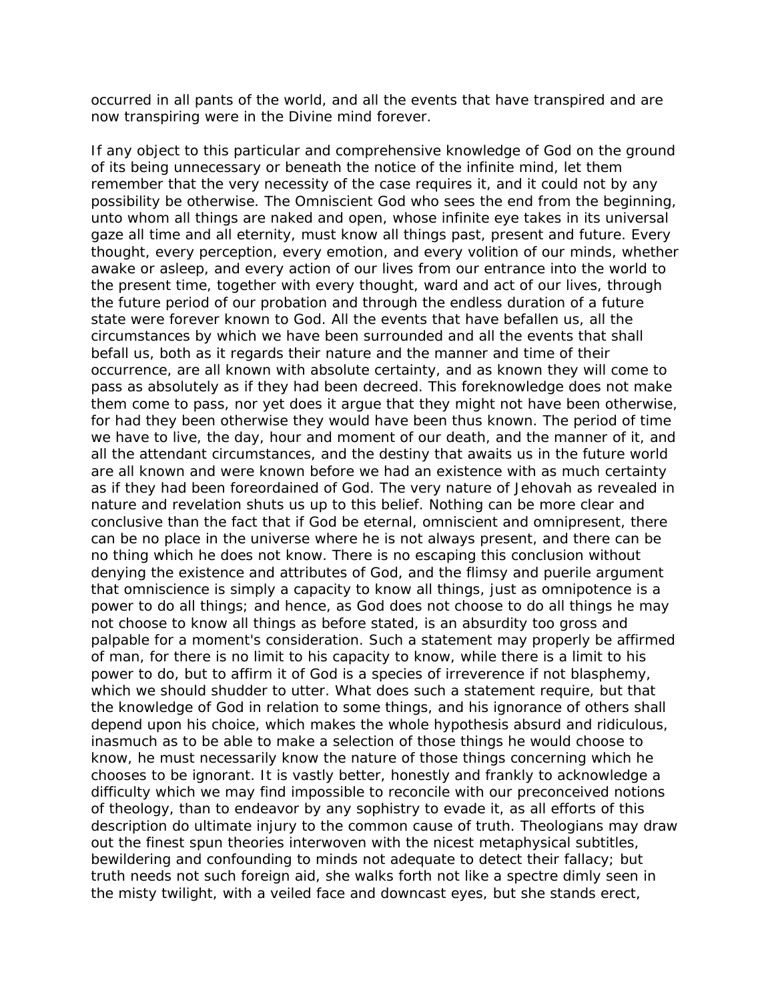occurred in all pants of the world, and all the events that have transpired and are now transpiring were in the Divine mind forever.

If any object to this particular and comprehensive knowledge of God on the ground of its being unnecessary or beneath the notice of the infinite mind, let them remember that the very necessity of the case requires it, and it could not by any possibility be otherwise. The Omniscient God who sees the end from the beginning, unto whom all things are naked and open, whose infinite eye takes in its universal gaze all time and all eternity, must know all things past, present and future. Every thought, every perception, every emotion, and every volition of our minds, whether awake or asleep, and every action of our lives from our entrance into the world to the present time, together with every thought, ward and act of our lives, through the future period of our probation and through the endless duration of a future state were forever known to God. All the events that have befallen us, all the circumstances by which we have been surrounded and all the events that shall befall us, both as it regards their nature and the manner and time of their occurrence, are all known with absolute certainty, and as known they will come to pass as absolutely as if they had been decreed. This foreknowledge does not make them come to pass, nor yet does it argue that they might not have been otherwise, for had they been otherwise they would have been thus known. The period of time we have to live, the day, hour and moment of our death, and the manner of it, and all the attendant circumstances, and the destiny that awaits us in the future world are all known and were known before we had an existence with as much certainty as if they had been foreordained of God. The very nature of Jehovah as revealed in nature and revelation shuts us up to this belief. Nothing can be more clear and conclusive than the fact that if God be eternal, omniscient and omnipresent, there can be no place in the universe where he is not always present, and there can be no thing which he does not know. There is no escaping this conclusion without denying the existence and attributes of God, and the flimsy and puerile argument that omniscience is simply a capacity to know all things, just as omnipotence is a power to do all things; and hence, as God does not choose to do all things he may not choose to know all things as before stated, is an absurdity too gross and palpable for a moment's consideration. Such a statement may properly be affirmed of man, for there is no limit to his capacity to know, while there is a limit to his power to do, but to affirm it of God is a species of irreverence if not blasphemy, which we should shudder to utter. What does such a statement require, but that the knowledge of God in relation to some things, and his ignorance of others shall depend upon his choice, which makes the whole hypothesis absurd and ridiculous, inasmuch as to be able to make a selection of those things he would choose to know, he must necessarily know the nature of those things concerning which he chooses to be ignorant. It is vastly better, honestly and frankly to acknowledge a difficulty which we may find impossible to reconcile with our preconceived notions of theology, than to endeavor by any sophistry to evade it, as all efforts of this description do ultimate injury to the common cause of truth. Theologians may draw out the finest spun theories interwoven with the nicest metaphysical subtitles, bewildering and confounding to minds not adequate to detect their fallacy; but truth needs not such foreign aid, she walks forth not like a spectre dimly seen in the misty twilight, with a veiled face and downcast eyes, but she stands erect,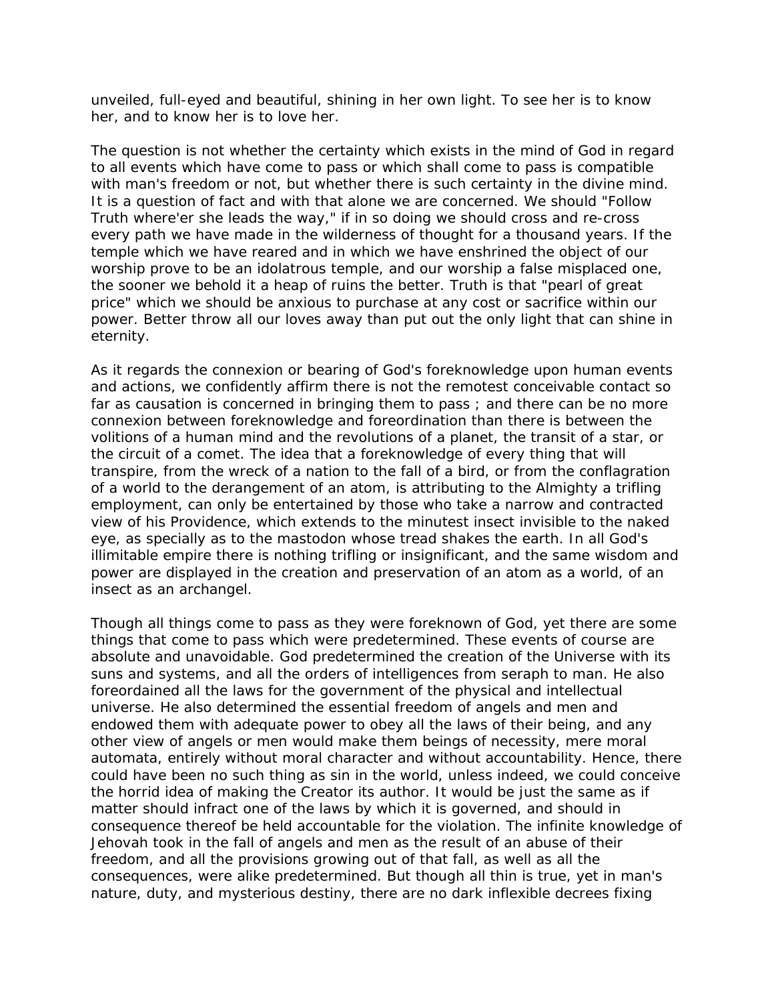unveiled, full-eyed and beautiful, shining in her own light. To see her is to know her, and to know her is to love her.

The question is not whether the certainty which exists in the mind of God in regard to all events which have come to pass or which shall come to pass is compatible with man's freedom or not, but whether there is such certainty in the divine mind. It is a question of fact and with that alone we are concerned. We should "Follow Truth where'er she leads the way," if in so doing we should cross and re-cross every path we have made in the wilderness of thought for a thousand years. If the temple which we have reared and in which we have enshrined the object of our worship prove to be an idolatrous temple, and our worship a false misplaced one, the sooner we behold it a heap of ruins the better. Truth is that "pearl of great price" which we should be anxious to purchase at any cost or sacrifice within our power. Better throw all our loves away than put out the only light that can shine in eternity.

As it regards the connexion or bearing of God's foreknowledge upon human events and actions, we confidently affirm there is not the remotest conceivable contact so far as causation is concerned in bringing them to pass ; and there can be no more connexion between foreknowledge and foreordination than there is between the volitions of a human mind and the revolutions of a planet, the transit of a star, or the circuit of a comet. The idea that a foreknowledge of every thing that will transpire, from the wreck of a nation to the fall of a bird, or from the conflagration of a world to the derangement of an atom, is attributing to the Almighty a trifling employment, can only be entertained by those who take a narrow and contracted view of his Providence, which extends to the minutest insect invisible to the naked eye, as specially as to the mastodon whose tread shakes the earth. In all God's illimitable empire there is nothing trifling or insignificant, and the same wisdom and power are displayed in the creation and preservation of an atom as a world, of an insect as an archangel.

Though all things come to pass as they were foreknown of God, yet there are some things that come to pass which were predetermined. These events of course are absolute and unavoidable. God predetermined the creation of the Universe with its suns and systems, and all the orders of intelligences from seraph to man. He also foreordained all the laws for the government of the physical and intellectual universe. He also determined the essential freedom of angels and men and endowed them with adequate power to obey all the laws of their being, and any other view of angels or men would make them beings of necessity, mere moral automata, entirely without moral character and without accountability. Hence, there could have been no such thing as sin in the world, unless indeed, we could conceive the horrid idea of making the Creator its author. It would be just the same as if matter should infract one of the laws by which it is governed, and should in consequence thereof be held accountable for the violation. The infinite knowledge of Jehovah took in the fall of angels and men as the result of an abuse of their freedom, and all the provisions growing out of that fall, as well as all the consequences, were alike predetermined. But though all thin is true, yet in man's nature, duty, and mysterious destiny, there are no dark inflexible decrees fixing